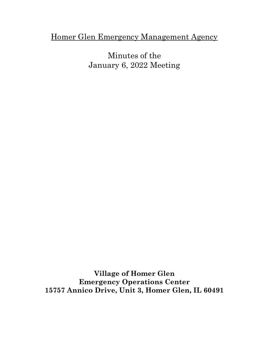## Homer Glen Emergency Management Agency

Minutes of the January 6, 2022 Meeting

**Village of Homer Glen Emergency Operations Center 15757 Annico Drive, Unit 3, Homer Glen, IL 60491**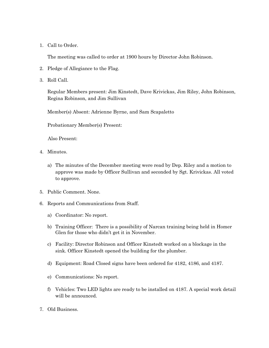1. Call to Order.

The meeting was called to order at 1900 hours by Director John Robinson.

- 2. Pledge of Allegiance to the Flag.
- 3. Roll Call.

Regular Members present: Jim Kinstedt, Dave Krivickas, Jim Riley, John Robinson, Regina Robinson, and Jim Sullivan

Member(s) Absent: Adrienne Byrne, and Sam Scapaletto

Probationary Member(s) Present:

Also Present:

- 4. Minutes.
	- a) The minutes of the December meeting were read by Dep. Riley and a motion to approve was made by Officer Sullivan and seconded by Sgt. Krivickas. All voted to approve.
- 5. Public Comment. None.
- 6. Reports and Communications from Staff.
	- a) Coordinator: No report.
	- b) Training Officer: There is a possibility of Narcan training being held in Homer Glen for those who didn't get it in November.
	- c) Facility: Director Robinson and Officer Kinstedt worked on a blockage in the sink. Officer Kinstedt opened the building for the plumber.
	- d) Equipment: Road Closed signs have been ordered for 4182, 4186, and 4187.
	- e) Communications: No report.
	- f) Vehicles: Two LED lights are ready to be installed on 4187. A special work detail will be announced.
- 7. Old Business.